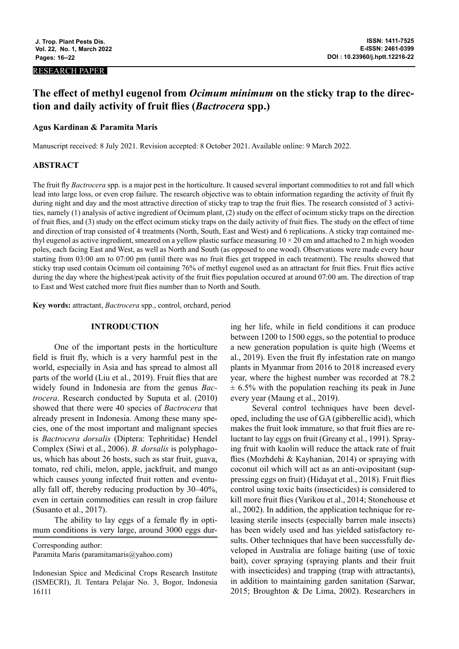#### RESEARCH PAPER

# **The effect of methyl eugenol from** *Ocimum minimum* **on the sticky trap to the direction and daily activity of fruit flies (***Bactrocera* **spp.)**

## **Agus Kardinan & Paramita Maris**

Manuscript received: 8 July 2021. Revision accepted: 8 October 2021. Available online: 9 March 2022.

# **ABSTRACT**

The fruit fly *Bactrocera* spp. is a major pest in the horticulture. It caused several important commodities to rot and fall which lead into large loss, or even crop failure. The research objective was to obtain information regarding the activity of fruit fly during night and day and the most attractive direction of sticky trap to trap the fruit flies. The research consisted of 3 activities, namely (1) analysis of active ingredient of Ocimum plant, (2) study on the effect of ocimum sticky traps on the direction of fruit flies, and (3) study on the effect ocimum sticky traps on the daily activity of fruit flies. The study on the effect of time and direction of trap consisted of 4 treatments (North, South, East and West) and 6 replications. A sticky trap contained methyl eugenol as active ingredient, smeared on a yellow plastic surface measuring  $10 \times 20$  cm and attached to 2 m high wooden poles, each facing East and West, as well as North and South (as opposed to one wood). Observations were made every hour starting from 03:00 am to 07:00 pm (until there was no fruit flies get trapped in each treatment). The results showed that sticky trap used contain Ocimum oil containing 76% of methyl eugenol used as an attractant for fruit flies. Fruit flies active during the day where the highest/peak activity of the fruit flies population occured at around 07:00 am. The direction of trap to East and West catched more fruit flies number than to North and South.

**Key words:** attractant, *Bactrocera* spp., control, orchard, period

## **INTRODUCTION**

One of the important pests in the horticulture field is fruit fly, which is a very harmful pest in the world, especially in Asia and has spread to almost all parts of the world (Liu et al., 2019). Fruit flies that are widely found in Indonesia are from the genus *Bactrocera*. Research conducted by Suputa et al. (2010) showed that there were 40 species of *Bactrocera* that already present in Indonesia. Among these many species, one of the most important and malignant species is *Bactrocera dorsalis* (Diptera: Tephritidae) Hendel Complex (Siwi et al., 2006). *B. dorsalis* is polyphagous, which has about 26 hosts, such as star fruit, guava, tomato, red chili, melon, apple, jackfruit, and mango which causes young infected fruit rotten and eventually fall off, thereby reducing production by 30–40%, even in certain commodities can result in crop failure (Susanto et al., 2017).

The ability to lay eggs of a female fly in optimum conditions is very large, around 3000 eggs dur-

Corresponding author:

Paramita Maris (paramitamaris@yahoo.com)

Indonesian Spice and Medicinal Crops Research Institute (ISMECRI), Jl. Tentara Pelajar No. 3, Bogor, Indonesia 16111

ing her life, while in field conditions it can produce between 1200 to 1500 eggs, so the potential to produce a new generation population is quite high (Weems et al., 2019). Even the fruit fly infestation rate on mango plants in Myanmar from 2016 to 2018 increased every year, where the highest number was recorded at 78.2  $\pm$  6.5% with the population reaching its peak in June every year (Maung et al., 2019).

Several control techniques have been developed, including the use of GA (gibberellic acid), which makes the fruit look immature, so that fruit flies are reluctant to lay eggs on fruit (Greany et al., 1991). Spraying fruit with kaolin will reduce the attack rate of fruit flies (Mozhdehi & Kayhanian, 2014) or spraying with coconut oil which will act as an anti-ovipositant (suppressing eggs on fruit) (Hidayat et al., 2018). Fruit flies control using toxic baits (insecticides) is considered to kill more fruit flies (Varikou et al., 2014; Stonehouse et al., 2002). In addition, the application technique for releasing sterile insects (especially barren male insects) has been widely used and has yielded satisfactory results. Other techniques that have been successfully developed in Australia are foliage baiting (use of toxic bait), cover spraying (spraying plants and their fruit with insecticides) and trapping (trap with attractants), in addition to maintaining garden sanitation (Sarwar, 2015; Broughton & De Lima, 2002). Researchers in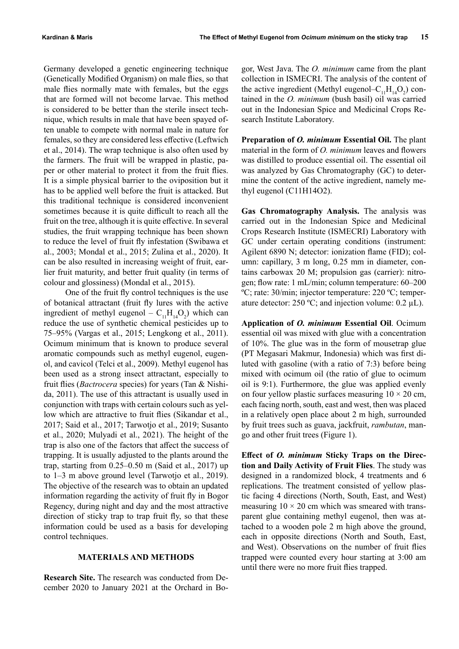Germany developed a genetic engineering technique (Genetically Modified Organism) on male flies, so that male flies normally mate with females, but the eggs that are formed will not become larvae. This method is considered to be better than the sterile insect technique, which results in male that have been spayed often unable to compete with normal male in nature for females, so they are considered less effective (Leftwich et al., 2014). The wrap technique is also often used by the farmers. The fruit will be wrapped in plastic, paper or other material to protect it from the fruit flies. It is a simple physical barrier to the oviposition but it has to be applied well before the fruit is attacked. But this traditional technique is considered inconvenient sometimes because it is quite difficult to reach all the fruit on the tree, although it is quite effective. In several studies, the fruit wrapping technique has been shown to reduce the level of fruit fly infestation (Swibawa et al., 2003; Mondal et al., 2015; Zulina et al., 2020). It can be also resulted in increasing weight of fruit, earlier fruit maturity, and better fruit quality (in terms of colour and glossiness) (Mondal et al., 2015).

One of the fruit fly control techniques is the use of botanical attractant (fruit fly lures with the active ingredient of methyl eugenol –  $C_{11}H_{14}O_2$ ) which can reduce the use of synthetic chemical pesticides up to 75–95% (Vargas et al., 2015; Lengkong et al., 2011). Ocimum minimum that is known to produce several aromatic compounds such as methyl eugenol, eugenol, and cavicol (Telci et al., 2009). Methyl eugenol has been used as a strong insect attractant, especially to fruit flies (*Bactrocera* species) for years (Tan & Nishida, 2011). The use of this attractant is usually used in conjunction with traps with certain colours such as yellow which are attractive to fruit flies (Sikandar et al., 2017; Said et al., 2017; Tarwotjo et al., 2019; Susanto et al., 2020; Mulyadi et al., 2021). The height of the trap is also one of the factors that affect the success of trapping. It is usually adjusted to the plants around the trap, starting from 0.25–0.50 m (Said et al., 2017) up to 1–3 m above ground level (Tarwotjo et al., 2019). The objective of the research was to obtain an updated information regarding the activity of fruit fly in Bogor Regency, during night and day and the most attractive direction of sticky trap to trap fruit fly, so that these information could be used as a basis for developing control techniques.

#### **MATERIALS AND METHODS**

**Research Site.** The research was conducted from December 2020 to January 2021 at the Orchard in Bo-

gor, West Java. The *O. minimum* came from the plant collection in ISMECRI. The analysis of the content of the active ingredient (Methyl eugenol– $C_{11}H_{14}O_2$ ) contained in the *O. minimum* (bush basil) oil was carried out in the Indonesian Spice and Medicinal Crops Research Institute Laboratory.

**Preparation of** *O. minimum* **Essential Oil.** The plant material in the form of *O. minimum* leaves and flowers was distilled to produce essential oil. The essential oil was analyzed by Gas Chromatography (GC) to determine the content of the active ingredient, namely methyl eugenol (C11H14O2).

**Gas Chromatography Analysis.** The analysis was carried out in the Indonesian Spice and Medicinal Crops Research Institute (ISMECRI) Laboratory with GC under certain operating conditions (instrument: Agilent 6890 N; detector: ionization flame (FID); column: capillary, 3 m long, 0.25 mm in diameter, contains carbowax 20 M; propulsion gas (carrier): nitrogen; flow rate: 1 mL/min; column temperature: 60–200 ºC; rate: 30/min; injector temperature: 220 ºC; temperature detector:  $250 \degree C$ ; and injection volume: 0.2  $\mu$ L).

**Application of** *O. minimum* **Essential Oil**. Ocimum essential oil was mixed with glue with a concentration of 10%. The glue was in the form of mousetrap glue (PT Megasari Makmur, Indonesia) which was first diluted with gasoline (with a ratio of 7:3) before being mixed with ocimum oil (the ratio of glue to ocimum oil is 9:1). Furthermore, the glue was applied evenly on four yellow plastic surfaces measuring  $10 \times 20$  cm, each facing north, south, east and west, then was placed in a relatively open place about 2 m high, surrounded by fruit trees such as guava, jackfruit, *rambutan*, mango and other fruit trees (Figure 1).

**Effect of** *O. minimum* **Sticky Traps on the Direction and Daily Activity of Fruit Flies**. The study was designed in a randomized block, 4 treatments and 6 replications. The treatment consisted of yellow plastic facing 4 directions (North, South, East, and West) measuring  $10 \times 20$  cm which was smeared with transparent glue containing methyl eugenol, then was attached to a wooden pole 2 m high above the ground, each in opposite directions (North and South, East, and West). Observations on the number of fruit flies trapped were counted every hour starting at 3:00 am until there were no more fruit flies trapped.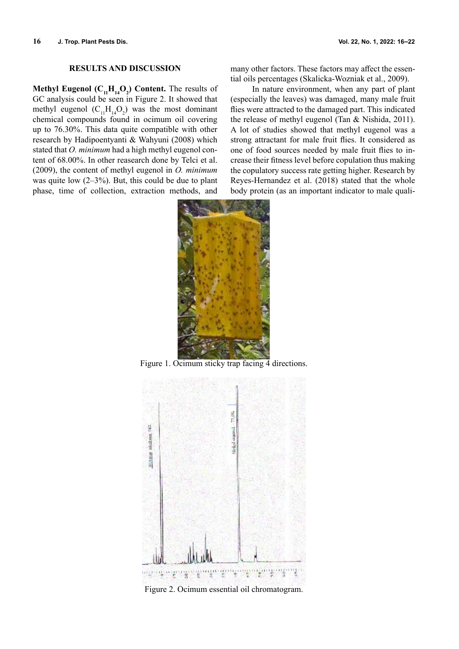#### **RESULTS AND DISCUSSION**

**Methyl Eugenol** ( $C_{11}H_{14}O_{2}$ ) Content. The results of GC analysis could be seen in Figure 2. It showed that methyl eugenol  $(C_{11}H_{14}O_2)$  was the most dominant chemical compounds found in ocimum oil covering up to 76.30%. This data quite compatible with other research by Hadipoentyanti & Wahyuni (2008) which stated that *O. minimum* had a high methyl eugenol content of 68.00%. In other reasearch done by Telci et al. (2009), the content of methyl eugenol in *O. minimum* was quite low  $(2-3\%)$ . But, this could be due to plant phase, time of collection, extraction methods, and

many other factors. These factors may affect the essential oils percentages (Skalicka-Wozniak et al., 2009).

In nature environment, when any part of plant (especially the leaves) was damaged, many male fruit flies were attracted to the damaged part. This indicated the release of methyl eugenol (Tan & Nishida, 2011). A lot of studies showed that methyl eugenol was a strong attractant for male fruit flies. It considered as one of food sources needed by male fruit flies to increase their fitness level before copulation thus making the copulatory success rate getting higher. Research by Reyes-Hernandez et al. (2018) stated that the whole body protein (as an important indicator to male quali-



Figure 1. Ocimum sticky trap facing 4 directions.



Figure 2. Ocimum essential oil chromatogram.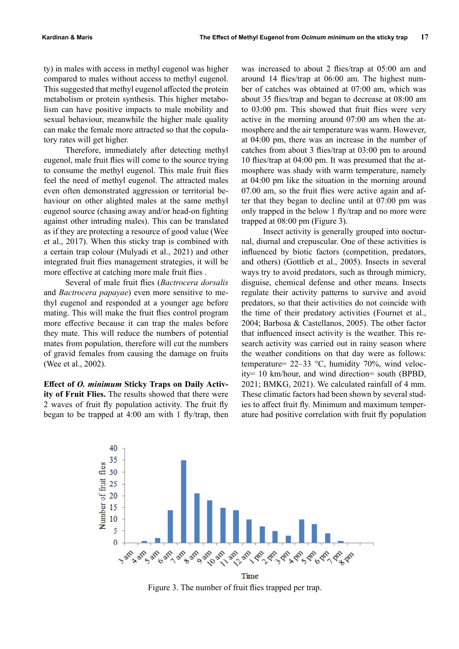ty) in males with access in methyl eugenol was higher compared to males without access to methyl eugenol. This suggested that methyl eugenol affected the protein metabolism or protein synthesis. This higher metabolism can have positive impacts to male mobility and sexual behaviour, meanwhile the higher male quality can make the female more attracted so that the copulatory rates will get higher.

Therefore, immediately after detecting methyl eugenol, male fruit flies will come to the source trying to consume the methyl eugenol. This male fruit flies feel the need of methyl eugenol. The attracted males even often demonstrated aggression or territorial behaviour on other alighted males at the same methyl eugenol source (chasing away and/or head-on fighting against other intruding males). This can be translated as if they are protecting a resource of good value (Wee et al., 2017). When this sticky trap is combined with a certain trap colour (Mulyadi et al., 2021) and other integrated fruit flies management strategies, it will be more effective at catching more male fruit flies .

Several of male fruit flies (*Bactrocera dorsalis* and *Bactrocera papayae*) even more sensitive to methyl eugenol and responded at a younger age before mating. This will make the fruit flies control program more effective because it can trap the males before they mate. This will reduce the numbers of potential mates from population, therefore will cut the numbers of gravid females from causing the damage on fruits (Wee et al., 2002).

**Effect of** *O. minimum* **Sticky Traps on Daily Activity of Fruit Flies.** The results showed that there were 2 waves of fruit fly population activity. The fruit fly began to be trapped at 4:00 am with 1 fly/trap, then

was increased to about 2 flies/trap at 05:00 am and around 14 flies/trap at 06:00 am. The highest number of catches was obtained at 07:00 am, which was about 35 flies/trap and began to decrease at 08:00 am to 03:00 pm. This showed that fruit flies were very active in the morning around 07:00 am when the atmosphere and the air temperature was warm. However, at 04:00 pm, there was an increase in the number of catches from about 3 flies/trap at 03:00 pm to around 10 flies/trap at 04:00 pm. It was presumed that the atmosphere was shady with warm temperature, namely at 04:00 pm like the situation in the morning around 07.00 am, so the fruit flies were active again and after that they began to decline until at 07:00 pm was only trapped in the below 1 fly/trap and no more were trapped at 08:00 pm (Figure 3).

Insect activity is generally grouped into nocturnal, diurnal and crepuscular. One of these activities is influenced by biotic factors (competition, predators, and others) (Gottlieb et al., 2005). Insects in several ways try to avoid predators, such as through mimicry, disguise, chemical defense and other means. Insects regulate their activity patterns to survive and avoid predators, so that their activities do not coincide with the time of their predatory activities (Fournet et al., 2004; Barbosa & Castellanos, 2005). The other factor that influenced insect activity is the weather. This research activity was carried out in rainy season where the weather conditions on that day were as follows: temperature= 22–33 °C, humidity 70%, wind velocity= 10 km/hour, and wind direction= south (BPBD, 2021; BMKG, 2021). We calculated rainfall of 4 mm. These climatic factors had been shown by several studies to affect fruit fly. Minimum and maximum temperature had positive correlation with fruit fly population



Time Figure 3. The number of fruit flies trapped per trap.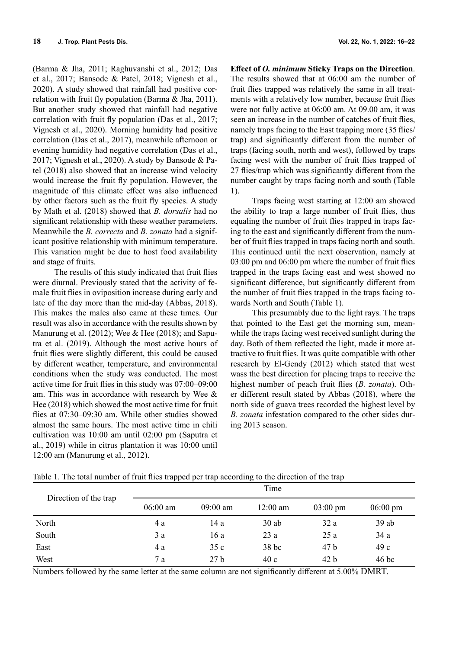(Barma & Jha, 2011; Raghuvanshi et al., 2012; Das et al., 2017; Bansode & Patel, 2018; Vignesh et al., 2020). A study showed that rainfall had positive correlation with fruit fly population (Barma & Jha, 2011). But another study showed that rainfall had negative correlation with fruit fly population (Das et al., 2017; Vignesh et al., 2020). Morning humidity had positive correlation (Das et al., 2017), meanwhile afternoon or evening humidity had negative correlation (Das et al., 2017; Vignesh et al., 2020). A study by Bansode & Patel (2018) also showed that an increase wind velocity would increase the fruit fly population. However, the magnitude of this climate effect was also influenced by other factors such as the fruit fly species. A study by Math et al. (2018) showed that *B. dorsalis* had no significant relationship with these weather parameters. Meanwhile the *B. correcta* and *B. zonata* had a significant positive relationship with minimum temperature. This variation might be due to host food availability and stage of fruits.

The results of this study indicated that fruit flies were diurnal. Previously stated that the activity of female fruit flies in oviposition increase during early and late of the day more than the mid-day (Abbas, 2018). This makes the males also came at these times. Our result was also in accordance with the results shown by Manurung et al. (2012); Wee & Hee (2018); and Saputra et al. (2019). Although the most active hours of fruit flies were slightly different, this could be caused by different weather, temperature, and environmental conditions when the study was conducted. The most active time for fruit flies in this study was 07:00–09:00 am. This was in accordance with research by Wee & Hee (2018) which showed the most active time for fruit flies at 07:30–09:30 am. While other studies showed almost the same hours. The most active time in chili cultivation was 10:00 am until 02:00 pm (Saputra et al., 2019) while in citrus plantation it was 10:00 until 12:00 am (Manurung et al., 2012).

**Effect of** *O. minimum* **Sticky Traps on the Direction**. The results showed that at 06:00 am the number of fruit flies trapped was relatively the same in all treatments with a relatively low number, because fruit flies were not fully active at 06:00 am. At 09.00 am, it was seen an increase in the number of catches of fruit flies, namely traps facing to the East trapping more (35 flies/ trap) and significantly different from the number of traps (facing south, north and west), followed by traps facing west with the number of fruit flies trapped of 27 flies/trap which was significantly different from the number caught by traps facing north and south (Table 1).

Traps facing west starting at 12:00 am showed the ability to trap a large number of fruit flies, thus equaling the number of fruit flies trapped in traps facing to the east and significantly different from the number of fruit flies trapped in traps facing north and south. This continued until the next observation, namely at 03:00 pm and 06:00 pm where the number of fruit flies trapped in the traps facing east and west showed no significant difference, but significantly different from the number of fruit flies trapped in the traps facing towards North and South (Table 1).

This presumably due to the light rays. The traps that pointed to the East get the morning sun, meanwhile the traps facing west received sunlight during the day. Both of them reflected the light, made it more attractive to fruit flies. It was quite compatible with other research by El-Gendy (2012) which stated that west wass the best direction for placing traps to receive the highest number of peach fruit flies (*B. zonata*). Other different result stated by Abbas (2018), where the north side of guava trees recorded the highest level by *B. zonata* infestation compared to the other sides during 2013 season.

| Direction of the trap | Time       |                 |                  |                    |                    |
|-----------------------|------------|-----------------|------------------|--------------------|--------------------|
|                       | $06:00$ am | $09:00$ am      | $12:00$ am       | $03:00 \text{ pm}$ | $06:00 \text{ pm}$ |
| North                 | 4 a        | 14 a            | $30$ ab          | 32a                | 39ab               |
| South                 | 3 a        | 16 a            | 23a              | 25a                | 34 a               |
| East                  | 4 a        | 35c             | 38 <sub>bc</sub> | 47 b               | 49c                |
| West                  | 7a         | 27 <sub>b</sub> | 40c              | 42 <sub>b</sub>    | 46 <sub>bc</sub>   |

Table 1. The total number of fruit flies trapped per trap according to the direction of the trap

Numbers followed by the same letter at the same column are not significantly different at 5.00% DMRT.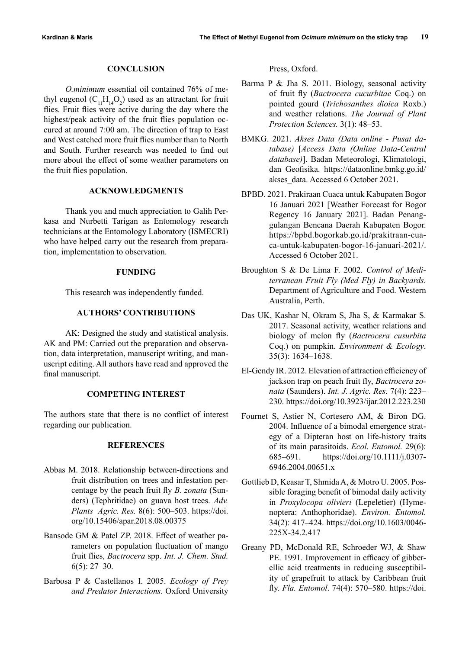#### **CONCLUSION**

*O.minimum* essential oil contained 76% of methyl eugenol  $(C_{11}H_{14}O_2)$  used as an attractant for fruit flies. Fruit flies were active during the day where the highest/peak activity of the fruit flies population occured at around 7:00 am. The direction of trap to East and West catched more fruit flies number than to North and South. Further research was needed to find out more about the effect of some weather parameters on the fruit flies population.

# **ACKNOWLEDGMENTS**

Thank you and much appreciation to Galih Perkasa and Nurbetti Tarigan as Entomology research technicians at the Entomology Laboratory (ISMECRI) who have helped carry out the research from preparation, implementation to observation.

#### **FUNDING**

This research was independently funded.

## **AUTHORS' CONTRIBUTIONS**

AK: Designed the study and statistical analysis. AK and PM: Carried out the preparation and observation, data interpretation, manuscript writing, and manuscript editing. All authors have read and approved the final manuscript.

# **COMPETING INTEREST**

The authors state that there is no conflict of interest regarding our publication.

## **REFERENCES**

- Abbas M. 2018. Relationship between-directions and fruit distribution on trees and infestation percentage by the peach fruit fly *B. zonata* (Sunders) (Tephritidae) on guava host trees. *Adv. Plants Agric. Res.* 8(6): 500–503. https://doi. org/10.15406/apar.2018.08.00375
- Bansode GM & Patel ZP. 2018. Effect of weather parameters on population fluctuation of mango fruit flies, *Bactrocera* spp. *Int. J. Chem. Stud.* 6(5): 27–30.
- Barbosa P & Castellanos I. 2005. *Ecology of Prey and Predator Interactions.* Oxford University

Press, Oxford.

- Barma P & Jha S. 2011. Biology, seasonal activity of fruit fly (*Bactrocera cucurbitae* Coq.) on pointed gourd (*Trichosanthes dioica* Roxb.) and weather relations. *The Journal of Plant Protection Sciences.* 3(1): 48–53.
- BMKG. 2021. *Akses Data (Data online Pusat database)* [*Access Data (Online Data-Central database)*]. Badan Meteorologi, Klimatologi, dan Geofisika. https://dataonline.bmkg.go.id/ akses data. Accessed 6 October 2021.
- BPBD. 2021. Prakiraan Cuaca untuk Kabupaten Bogor 16 Januari 2021 [Weather Forecast for Bogor Regency 16 January 2021]. Badan Penanggulangan Bencana Daerah Kabupaten Bogor. https://bpbd.bogorkab.go.id/prakitraan-cuaca-untuk-kabupaten-bogor-16-januari-2021/. Accessed 6 October 2021.
- Broughton S & De Lima F. 2002. *Control of Mediterranean Fruit Fly (Med Fly) in Backyards.* Department of Agriculture and Food. Western Australia, Perth.
- Das UK, Kashar N, Okram S, Jha S, & Karmakar S. 2017. Seasonal activity, weather relations and biology of melon fly (*Bactrocera cusurbita* Coq.) on pumpkin. *Environment & Ecology*. 35(3): 1634–1638.
- El-Gendy IR. 2012. Elevation of attraction efficiency of jackson trap on peach fruit fly, *Bactrocera zonata* (Saunders). *Int. J. Agric. Res*. 7(4): 223– 230. https://doi.org/10.3923/ijar.2012.223.230
- Fournet S, Astier N, Cortesero AM, & Biron DG. 2004. Influence of a bimodal emergence strategy of a Dipteran host on life-history traits of its main parasitoids. *Ecol. Entomol.* 29(6): 685–691. https://doi.org/10.1111/j.0307- 6946.2004.00651.x
- Gottlieb D, Keasar T, Shmida A, & Motro U. 2005. Possible foraging benefit of bimodal daily activity in *Proxylocopa olivieri* (Lepeletier) (Hymenoptera: Anthophoridae). *Environ. Entomol.* 34(2): 417–424. https://doi.org/10.1603/0046- 225X-34.2.417
- Greany PD, McDonald RE, Schroeder WJ, & Shaw PE. 1991. Improvement in efficacy of gibberellic acid treatments in reducing susceptibility of grapefruit to attack by Caribbean fruit fly. *Fla. Entomol*. 74(4): 570–580. https://doi.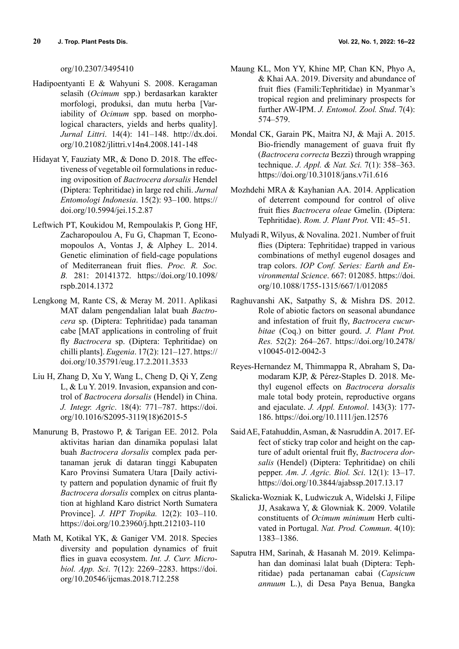org/10.2307/3495410

- Hadipoentyanti E & Wahyuni S. 2008. Keragaman selasih (*Ocimum* spp.) berdasarkan karakter morfologi, produksi, dan mutu herba [Variability of *Ocimum* spp. based on morphological characters, yields and herbs quality]. *Jurnal Littri*. 14(4): 141–148. http://dx.doi. org/10.21082/jlittri.v14n4.2008.141-148
- Hidayat Y, Fauziaty MR, & Dono D. 2018. The effectiveness of vegetable oil formulations in reducing oviposition of *Bactrocera dorsalis* Hendel (Diptera: Tephritidae) in large red chili. *Jurnal Entomologi Indonesia*. 15(2): 93–100. https:// doi.org/10.5994/jei.15.2.87
- Leftwich PT, Koukidou M, Rempoulakis P, Gong HF, Zacharopoulou A, Fu G, Chapman T, Economopoulos A, Vontas J, & Alphey L. 2014. Genetic elimination of field-cage populations of Mediterranean fruit flies. *Proc. R. Soc. B.* 281: 20141372. https://doi.org/10.1098/ rspb.2014.1372
- Lengkong M, Rante CS, & Meray M. 2011. Aplikasi MAT dalam pengendalian lalat buah *Bactrocera* sp. (Diptera: Tephritidae) pada tanaman cabe [MAT applications in controling of fruit fly *Bactrocera* sp. (Diptera: Tephritidae) on chilli plants]. *Eugenia*. 17(2): 121–127. https:// doi.org/10.35791/eug.17.2.2011.3533
- Liu H, Zhang D, Xu Y, Wang L, Cheng D, Qi Y, Zeng L, & Lu Y. 2019. Invasion, expansion and control of *Bactrocera dorsalis* (Hendel) in China. *J. Integr. Agric*. 18(4): 771–787. https://doi. org/10.1016/S2095-3119(18)62015-5
- Manurung B, Prastowo P, & Tarigan EE. 2012. Pola aktivitas harian dan dinamika populasi lalat buah *Bactrocera dorsalis* complex pada pertanaman jeruk di dataran tinggi Kabupaten Karo Provinsi Sumatera Utara [Daily activity pattern and population dynamic of fruit fly *Bactrocera dorsalis* complex on citrus plantation at highland Karo district North Sumatera Province]. *J. HPT Tropika.* 12(2): 103–110. https://doi.org/10.23960/j.hptt.212103-110
- Math M, Kotikal YK, & Ganiger VM. 2018. Species diversity and population dynamics of fruit flies in guava ecosystem. *Int. J. Curr. Microbiol. App. Sci*. 7(12): 2269–2283. https://doi. org/10.20546/ijcmas.2018.712.258
- Maung KL, Mon YY, Khine MP, Chan KN, Phyo A, & Khai AA. 2019. Diversity and abundance of fruit flies (Famili:Tephritidae) in Myanmar's tropical region and preliminary prospects for further AW-IPM. *J. Entomol. Zool. Stud*. 7(4): 574–579.
- Mondal CK, Garain PK, Maitra NJ, & Maji A. 2015. Bio-friendly management of guava fruit fly (*Bactrocera correcta* Bezzi) through wrapping technique. *J. Appl. & Nat. Sci.* 7(1): 358–363. https://doi.org/10.31018/jans.v7i1.616
- Mozhdehi MRA & Kayhanian AA. 2014. Application of deterrent compound for control of olive fruit flies *Bactrocera oleae* Gmelin. (Diptera: Tephritidae). *Rom. J. Plant Prot.* VII: 45–51.
- Mulyadi R, Wilyus, & Novalina. 2021. Number of fruit flies (Diptera: Tephritidae) trapped in various combinations of methyl eugenol dosages and trap colors. *IOP Conf. Series: Earth and Environmental Science*. 667: 012085. https://doi. org/10.1088/1755-1315/667/1/012085
- Raghuvanshi AK, Satpathy S, & Mishra DS. 2012. Role of abiotic factors on seasonal abundance and infestation of fruit fly, *Bactrocera cucurbitae* (Coq.) on bitter gourd. *J. Plant Prot. Res.* 52(2): 264–267. https://doi.org/10.2478/ v10045-012-0042-3
- Reyes-Hernandez M, Thimmappa R, Abraham S, Damodaram KJP, & Pérez-Staples D. 2018. Methyl eugenol effects on *Bactrocera dorsalis* male total body protein, reproductive organs and ejaculate. *J. Appl. Entomol*. 143(3): 177- 186. https://doi.org/10.1111/jen.12576
- Said AE, Fatahuddin, Asman, & Nasruddin A. 2017. Effect of sticky trap color and height on the capture of adult oriental fruit fly, *Bactrocera dorsalis* (Hendel) (Diptera: Tephritidae) on chili pepper. *Am. J. Agric. Biol. Sci*. 12(1): 13–17. https://doi.org/10.3844/ajabssp.2017.13.17
- Skalicka-Wozniak K, Ludwiczuk A, Widelski J, Filipe JJ, Asakawa Y, & Glowniak K. 2009. Volatile constituents of *Ocimum minimum* Herb cultivated in Portugal. *Nat. Prod. Commun*. 4(10): 1383–1386.
- Saputra HM, Sarinah, & Hasanah M. 2019. Kelimpahan dan dominasi lalat buah (Diptera: Tephritidae) pada pertanaman cabai (*Capsicum annuum* L.), di Desa Paya Benua, Bangka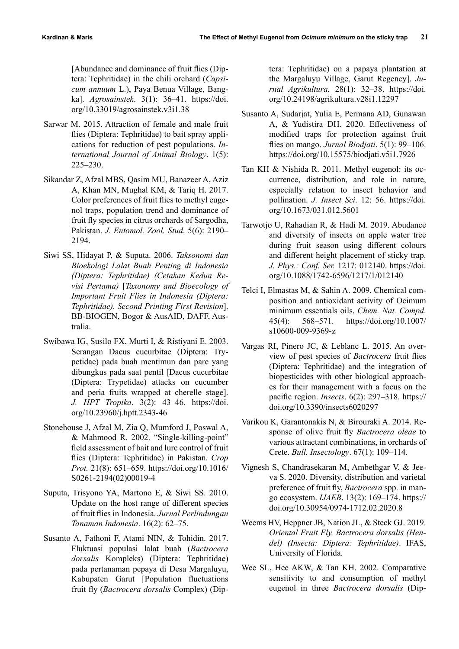[Abundance and dominance of fruit flies (Diptera: Tephritidae) in the chili orchard (*Capsicum annuum* L.), Paya Benua Village, Bangka]. *Agrosainstek*. 3(1): 36–41. https://doi. org/10.33019/agrosainstek.v3i1.38

- Sarwar M. 2015. Attraction of female and male fruit flies (Diptera: Tephritidae) to bait spray applications for reduction of pest populations. *International Journal of Animal Biology*. 1(5): 225–230.
- Sikandar Z, Afzal MBS, Qasim MU, Banazeer A, Aziz A, Khan MN, Mughal KM, & Tariq H. 2017. Color preferences of fruit flies to methyl eugenol traps, population trend and dominance of fruit fly species in citrus orchards of Sargodha, Pakistan. *J. Entomol. Zool. Stud*. 5(6): 2190– 2194.
- Siwi SS, Hidayat P, & Suputa. 2006. *Taksonomi dan Bioekologi Lalat Buah Penting di Indonesia (Diptera: Tephritidae) (Cetakan Kedua Revisi Pertama)* [*Taxonomy and Bioecology of Important Fruit Flies in Indonesia (Diptera: Tephritidae). Second Printing First Revision*]. BB-BIOGEN, Bogor & AusAID, DAFF, Australia.
- Swibawa IG, Susilo FX, Murti I, & Ristiyani E. 2003. Serangan Dacus cucurbitae (Diptera: Trypetidae) pada buah mentimun dan pare yang dibungkus pada saat pentil [Dacus cucurbitae (Diptera: Trypetidae) attacks on cucumber and peria fruits wrapped at cherelle stage]. *J. HPT Tropika*. 3(2): 43–46. https://doi. org/10.23960/j.hptt.2343-46
- Stonehouse J, Afzal M, Zia Q, Mumford J, Poswal A, & Mahmood R. 2002. "Single-killing-point" field assessment of bait and lure control of fruit flies (Diptera: Tephritidae) in Pakistan. *Crop Prot.* 21(8): 651–659. https://doi.org/10.1016/ S0261-2194(02)00019-4
- Suputa, Trisyono YA, Martono E, & Siwi SS. 2010. Update on the host range of different species of fruit flies in Indonesia. *Jurnal Perlindungan Tanaman Indonesia*. 16(2): 62–75.
- Susanto A, Fathoni F, Atami NIN, & Tohidin. 2017. Fluktuasi populasi lalat buah (*Bactrocera dorsalis* Kompleks) (Diptera: Tephritidae) pada pertanaman pepaya di Desa Margaluyu, Kabupaten Garut [Population fluctuations fruit fly (*Bactrocera dorsalis* Complex) (Dip-

tera: Tephritidae) on a papaya plantation at the Margaluyu Village, Garut Regency]. *Jurnal Agrikultura.* 28(1): 32–38. https://doi. org/10.24198/agrikultura.v28i1.12297

- Susanto A, Sudarjat, Yulia E, Permana AD, Gunawan A, & Yudistira DH. 2020. Effectiveness of modified traps for protection against fruit flies on mango. *Jurnal Biodjati*. 5(1): 99–106. https://doi.org/10.15575/biodjati.v5i1.7926
- Tan KH & Nishida R. 2011. Methyl eugenol: its occurrence, distribution, and role in nature, especially relation to insect behavior and pollination. *J. Insect Sci*. 12: 56. https://doi. org/10.1673/031.012.5601
- Tarwotjo U, Rahadian R, & Hadi M. 2019. Abudance and diversity of insects on apple water tree during fruit season using different colours and different height placement of sticky trap. *J. Phys.: Conf. Ser.* 1217: 012140. https://doi. org/10.1088/1742-6596/1217/1/012140
- Telci I, Elmastas M, & Sahin A. 2009. Chemical composition and antioxidant activity of Ocimum minimum essentials oils. *Chem. Nat. Compd*. 45(4): 568–571. https://doi.org/10.1007/ s10600-009-9369-z
- Vargas RI, Pinero JC, & Leblanc L. 2015. An overview of pest species of *Bactrocera* fruit flies (Diptera: Tephritidae) and the integration of biopesticides with other biological approaches for their management with a focus on the pacific region. *Insects*. 6(2): 297–318. https:// doi.org/10.3390/insects6020297
- Varikou K, Garantonakis N, & Birouraki A. 2014. Response of olive fruit fly *Bactrocera oleae* to various attractant combinations, in orchards of Crete. *Bull. Insectology*. 67(1): 109–114.
- Vignesh S, Chandrasekaran M, Ambethgar V, & Jeeva S. 2020. Diversity, distribution and varietal preference of fruit fly, *Bactrocera* spp. in mango ecosystem. *IJAEB*. 13(2): 169–174. https:// doi.org/10.30954/0974-1712.02.2020.8
- Weems HV, Heppner JB, Nation JL, & Steck GJ. 2019. *Oriental Fruit Fly, Bactrocera dorsalis (Hendel) (Insecta: Diptera: Tephritidae)*. IFAS, University of Florida.
- Wee SL, Hee AKW, & Tan KH. 2002. Comparative sensitivity to and consumption of methyl eugenol in three *Bactrocera dorsalis* (Dip-